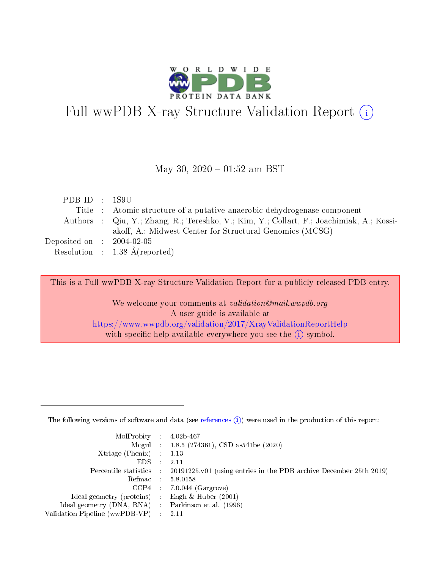

# Full wwPDB X-ray Structure Validation Report (i)

#### May 30,  $2020 - 01:52$  am BST

| PDBID : 1S9U                |                                                                                          |
|-----------------------------|------------------------------------------------------------------------------------------|
|                             | Title : Atomic structure of a putative anaerobic dehydrogenase component                 |
|                             | Authors : Qiu, Y.; Zhang, R.; Tereshko, V.; Kim, Y.; Collart, F.; Joachimiak, A.; Kossi- |
|                             | akoff, A.; Midwest Center for Structural Genomics (MCSG)                                 |
| Deposited on : $2004-02-05$ |                                                                                          |
|                             | Resolution : $1.38 \text{ Å}$ (reported)                                                 |

This is a Full wwPDB X-ray Structure Validation Report for a publicly released PDB entry.

We welcome your comments at validation@mail.wwpdb.org A user guide is available at <https://www.wwpdb.org/validation/2017/XrayValidationReportHelp> with specific help available everywhere you see the  $(i)$  symbol.

The following versions of software and data (see [references](https://www.wwpdb.org/validation/2017/XrayValidationReportHelp#references)  $(1)$ ) were used in the production of this report:

| $MolProbability$ : 4.02b-467                      |                              |                                                                                            |
|---------------------------------------------------|------------------------------|--------------------------------------------------------------------------------------------|
|                                                   |                              | Mogul : $1.8.5$ (274361), CSD as 541be (2020)                                              |
| Xtriage (Phenix) $: 1.13$                         |                              |                                                                                            |
| EDS –                                             | $\sim$                       | -2.11                                                                                      |
|                                                   |                              | Percentile statistics : 20191225.v01 (using entries in the PDB archive December 25th 2019) |
| Refmac : 5.8.0158                                 |                              |                                                                                            |
| CCP4                                              |                              | $7.0.044$ (Gargrove)                                                                       |
| Ideal geometry (proteins)                         | $\mathcal{L}_{\mathrm{eff}}$ | Engh & Huber $(2001)$                                                                      |
| Ideal geometry (DNA, RNA) Parkinson et al. (1996) |                              |                                                                                            |
| Validation Pipeline (wwPDB-VP) : 2.11             |                              |                                                                                            |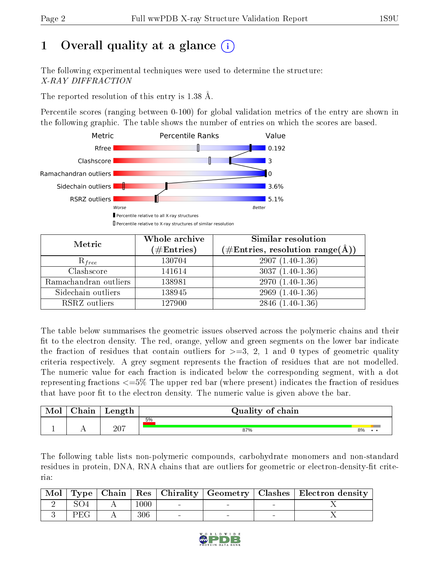## 1 [O](https://www.wwpdb.org/validation/2017/XrayValidationReportHelp#overall_quality)verall quality at a glance  $(i)$

The following experimental techniques were used to determine the structure: X-RAY DIFFRACTION

The reported resolution of this entry is 1.38 Å.

Percentile scores (ranging between 0-100) for global validation metrics of the entry are shown in the following graphic. The table shows the number of entries on which the scores are based.



| Metric                | Whole archive<br>$(\#\text{Entries})$ | <b>Similar resolution</b><br>$(\#\text{Entries},\,\text{resolution}\,\,\text{range}(\textup{\AA}))$ |
|-----------------------|---------------------------------------|-----------------------------------------------------------------------------------------------------|
| $R_{free}$            | 130704                                | $2907(1.40-1.36)$                                                                                   |
| Clashscore            | 141614                                | $3037(1.40-1.36)$                                                                                   |
| Ramachandran outliers | 138981                                | $2970(1.40-1.36)$                                                                                   |
| Sidechain outliers    | 138945                                | $2969(1.40-1.36)$                                                                                   |
| RSRZ outliers         | 127900                                | $2846(1.40-1.36)$                                                                                   |

The table below summarises the geometric issues observed across the polymeric chains and their fit to the electron density. The red, orange, yellow and green segments on the lower bar indicate the fraction of residues that contain outliers for  $>=3, 2, 1$  and 0 types of geometric quality criteria respectively. A grey segment represents the fraction of residues that are not modelled. The numeric value for each fraction is indicated below the corresponding segment, with a dot representing fractions <=5% The upper red bar (where present) indicates the fraction of residues that have poor fit to the electron density. The numeric value is given above the bar.

| Mol | ${\bf Chain}$ | Length | Quality of chain |    |
|-----|---------------|--------|------------------|----|
|     |               |        | 5%               |    |
| -   | . .           | 207    | 87%              | 8% |

The following table lists non-polymeric compounds, carbohydrate monomers and non-standard residues in protein, DNA, RNA chains that are outliers for geometric or electron-density-fit criteria:

|     |      |  |        | Mol   Type   Chain   Res   Chirality   Geometry   Clashes   Electron density |
|-----|------|--|--------|------------------------------------------------------------------------------|
|     | 1000 |  |        |                                                                              |
| PEG | 306  |  | $\sim$ |                                                                              |

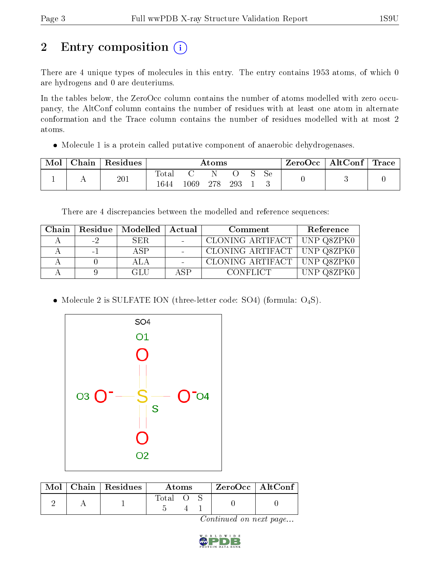## 2 Entry composition (i)

There are 4 unique types of molecules in this entry. The entry contains 1953 atoms, of which 0 are hydrogens and 0 are deuteriums.

In the tables below, the ZeroOcc column contains the number of atoms modelled with zero occupancy, the AltConf column contains the number of residues with at least one atom in alternate conformation and the Trace column contains the number of residues modelled with at most 2 atoms.

• Molecule 1 is a protein called putative component of anaerobic dehydrogeness.

| Mol | Chain | $\vert$ Residues $\vert$ | $\rm{Atoms}$  |          |     |     | $\text{ZeroOcc}$   AltConf   Trace |    |  |  |
|-----|-------|--------------------------|---------------|----------|-----|-----|------------------------------------|----|--|--|
|     |       | 201                      | Total<br>1644 | $1069\,$ | 278 | 293 |                                    | Sе |  |  |

There are 4 discrepancies between the modelled and reference sequences:

| Chain |          | Residue   Modelled   Actual |      | Comment                       | Reference   |
|-------|----------|-----------------------------|------|-------------------------------|-------------|
|       | $-2$     | SER.                        |      | CLONING ARTIFACT   UNP Q8ZPK0 |             |
|       | $\sim$ 1 | A SP                        |      | CLONING ARTIFACT   UNP Q8ZPK0 |             |
|       |          | ALA                         |      | CLONING ARTIFACT   UNP Q8ZPK0 |             |
|       |          | -GLU                        | ASP. | <b>CONFLICT</b>               | TINP O8ZPKI |

• Molecule 2 is SULFATE ION (three-letter code: SO4) (formula:  $O_4S$ ).



|  | $\text{Mol}$   Chain   Residues | Atoms       |  |  | $ZeroOcc$   AltConf |  |
|--|---------------------------------|-------------|--|--|---------------------|--|
|  |                                 | $\rm Total$ |  |  |                     |  |

Continued on next page...

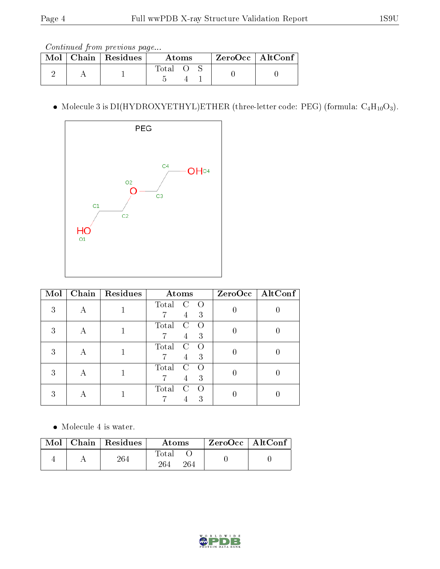Continued from previous page...

|  | $\text{Mol}$   Chain   Residues | Atoms   |  |  | ZeroOcc   AltConf |  |
|--|---------------------------------|---------|--|--|-------------------|--|
|  |                                 | -l'otal |  |  |                   |  |

• Molecule 3 is DI(HYDROXYETHYL)ETHER (three-letter code: PEG) (formula:  $C_4H_{10}O_3$ ).



| Mol | Chain   Residues | Atoms                                                 | $ZeroOcc \mid \overline{AltConf} \mid$ |
|-----|------------------|-------------------------------------------------------|----------------------------------------|
| 3   |                  | Total<br>C<br>$\left($<br>3<br>4                      |                                        |
| 3   |                  | Total<br>C<br>$\left( \right)$<br>3<br>$\overline{4}$ |                                        |
| 3   |                  | Total<br>C<br>$\left( \right)$<br>3<br>4              |                                        |
| 3   |                  | Total<br>C<br>3<br>4                                  |                                        |
| З   |                  | Total<br>C<br>3                                       |                                        |

• Molecule 4 is water.

|  | $\mid$ Mol $\mid$ Chain $\mid$ Residues $\mid$ | Atoms               | $\perp$ ZeroOcc $\parallel$ AltConf $\parallel$ |  |
|--|------------------------------------------------|---------------------|-------------------------------------------------|--|
|  | 264                                            | Total<br>264<br>264 |                                                 |  |

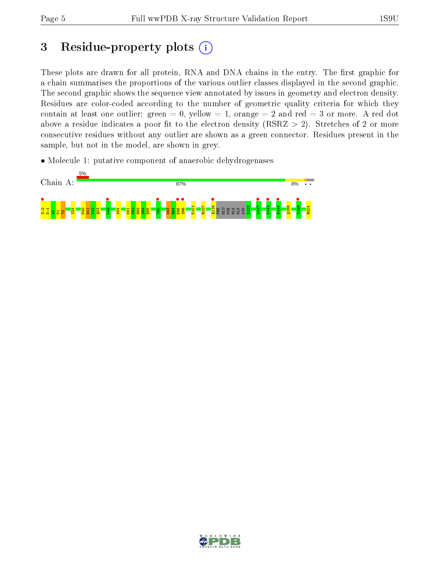## 3 Residue-property plots  $(i)$

These plots are drawn for all protein, RNA and DNA chains in the entry. The first graphic for a chain summarises the proportions of the various outlier classes displayed in the second graphic. The second graphic shows the sequence view annotated by issues in geometry and electron density. Residues are color-coded according to the number of geometric quality criteria for which they contain at least one outlier: green  $= 0$ , yellow  $= 1$ , orange  $= 2$  and red  $= 3$  or more. A red dot above a residue indicates a poor fit to the electron density (RSRZ  $> 2$ ). Stretches of 2 or more consecutive residues without any outlier are shown as a green connector. Residues present in the sample, but not in the model, are shown in grey.

• Molecule 1: putative component of anaerobic dehydrogenases



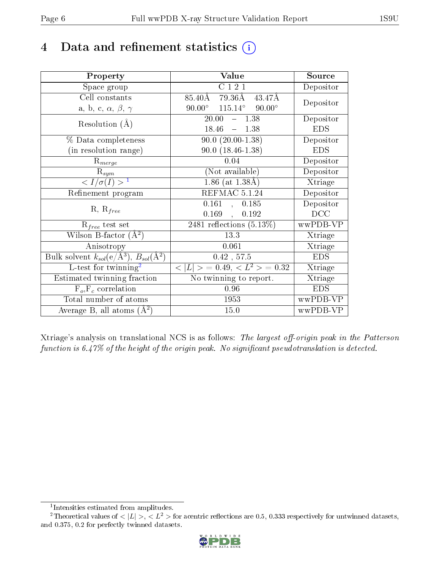### 4 Data and refinement statistics  $(i)$

| Property                                                                | Value                                            | Source     |
|-------------------------------------------------------------------------|--------------------------------------------------|------------|
| Space group                                                             | C121                                             | Depositor  |
| Cell constants                                                          | $85.40 \text{\AA}$ 79.36Å<br>43.47Å              | Depositor  |
| a, b, c, $\alpha$ , $\beta$ , $\gamma$                                  | $90.00^{\circ}$ $115.14^{\circ}$ $90.00^{\circ}$ |            |
| Resolution $(A)$                                                        | $20.00^{-7}$<br>$-1.38$                          | Depositor  |
|                                                                         | 18.46<br>$-1.38$                                 | <b>EDS</b> |
| % Data completeness                                                     | $90.0 (20.00 - 1.38)$                            | Depositor  |
| (in resolution range)                                                   | $90.0(18.46-1.38)$                               | <b>EDS</b> |
| $R_{merge}$                                                             | 0.04                                             | Depositor  |
| $\mathrm{R}_{sym}$                                                      | (Not available)                                  | Depositor  |
| $\langle I/\sigma(I) \rangle^{-1}$                                      | $1.86$ (at $1.38\text{\AA}$ )                    | Xtriage    |
| Refinement program                                                      | REFMAC 5.1.24                                    | Depositor  |
| $R, R_{free}$                                                           | 0.161,<br>0.185                                  | Depositor  |
|                                                                         | 0.169,<br>0.192                                  | DCC        |
| $R_{free}$ test set                                                     | $\overline{2481}$ reflections $(5.13\%)$         | wwPDB-VP   |
| Wilson B-factor $(A^2)$                                                 | 13.3                                             | Xtriage    |
| Anisotropy                                                              | 0.061                                            | Xtriage    |
| Bulk solvent $k_{sol}(\mathrm{e}/\mathrm{A}^3),\,B_{sol}(\mathrm{A}^2)$ | $0.42$ , $57.5$                                  | <b>EDS</b> |
| L-test for twinning <sup>2</sup>                                        | $< L >$ = 0.49, $< L^2 >$ = 0.32                 | Xtriage    |
| Estimated twinning fraction                                             | No twinning to report.                           | Xtriage    |
| $F_o, F_c$ correlation                                                  | 0.96                                             | <b>EDS</b> |
| Total number of atoms                                                   | 1953                                             | wwPDB-VP   |
| Average B, all atoms $(A^2)$                                            | 15.0                                             | wwPDB-VP   |

Xtriage's analysis on translational NCS is as follows: The largest off-origin peak in the Patterson function is  $6.47\%$  of the height of the origin peak. No significant pseudotranslation is detected.

<sup>&</sup>lt;sup>2</sup>Theoretical values of  $\langle |L| \rangle$ ,  $\langle L^2 \rangle$  for acentric reflections are 0.5, 0.333 respectively for untwinned datasets, and 0.375, 0.2 for perfectly twinned datasets.



<span id="page-5-1"></span><span id="page-5-0"></span><sup>1</sup> Intensities estimated from amplitudes.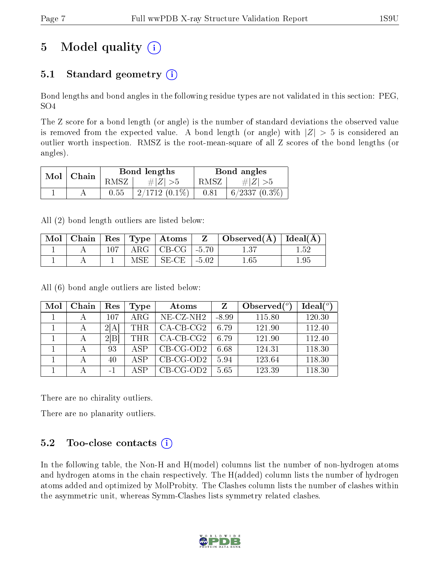## 5 Model quality  $(i)$

### 5.1 Standard geometry  $(i)$

Bond lengths and bond angles in the following residue types are not validated in this section: PEG, SO4

The Z score for a bond length (or angle) is the number of standard deviations the observed value is removed from the expected value. A bond length (or angle) with  $|Z| > 5$  is considered an outlier worth inspection. RMSZ is the root-mean-square of all Z scores of the bond lengths (or angles).

| Mol | Chain |      | Bond lengths    | Bond angles |                    |  |
|-----|-------|------|-----------------|-------------|--------------------|--|
|     |       | RMSZ | # $ Z  > 5$     |             | $\# Z  > 5$        |  |
|     |       | 0.55 | $2/1712(0.1\%)$ | 0.81        | $6/2337$ $(0.3\%)$ |  |

All (2) bond length outliers are listed below:

| Mol |  |     | $\mid$ Chain $\mid$ Res $\mid$ Type $\mid$ Atoms |         | $\Delta$ Observed( $\AA$ )   Ideal( $\AA$ ) |     |
|-----|--|-----|--------------------------------------------------|---------|---------------------------------------------|-----|
|     |  |     | ARG $\vert$ CB-CG $\vert$ -5.70                  |         |                                             | -52 |
|     |  | MSE | $SE-CE$                                          | $-5.02$ | .65                                         | 95  |

All (6) bond angle outliers are listed below:

| Mol | Chain | Res  | Type       | Atoms        |         | Observed $(°)$ | Ideal $(°)$ |
|-----|-------|------|------------|--------------|---------|----------------|-------------|
|     |       | 107  | $\rm{ARG}$ | $NE- CZ-NH2$ | $-8.99$ | 115.80         | 120.30      |
|     |       | 2[A] | <b>THR</b> | $CA$ -CB-CG2 | 6.79    | 121.90         | 112.40      |
|     |       | 2 B  | <b>THR</b> | $CA-CB-CG2$  | 6.79    | 121.90         | 112.40      |
|     | А     | 93   | A SP       | $CB-CG-OD2$  | 6.68    | 124.31         | 118.30      |
|     |       | 40   | A SP       | $CB-CG-OD2$  | 5.94    | 123.64         | 118.30      |
|     |       | -1   | A SP       | $CB-CG-OD2$  | 5.65    | 123.39         | 118.30      |

There are no chirality outliers.

There are no planarity outliers.

### 5.2 Too-close contacts  $(i)$

In the following table, the Non-H and H(model) columns list the number of non-hydrogen atoms and hydrogen atoms in the chain respectively. The H(added) column lists the number of hydrogen atoms added and optimized by MolProbity. The Clashes column lists the number of clashes within the asymmetric unit, whereas Symm-Clashes lists symmetry related clashes.

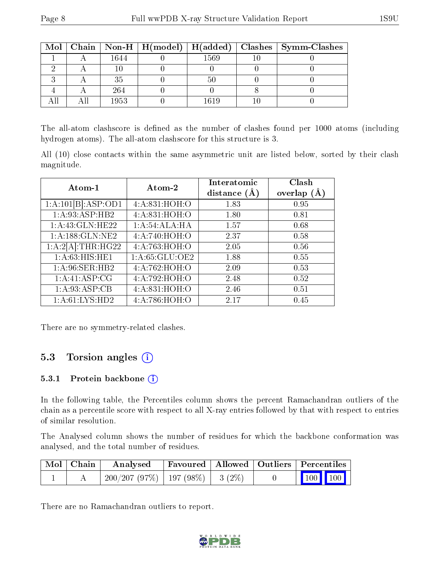|  |      |       | Mol   Chain   Non-H   H(model)   H(added)   Clashes   Symm-Clashes |
|--|------|-------|--------------------------------------------------------------------|
|  | 1644 | 1569  |                                                                    |
|  |      |       |                                                                    |
|  | 35   | 50    |                                                                    |
|  | 264  |       |                                                                    |
|  | 1953 | l 610 |                                                                    |

The all-atom clashscore is defined as the number of clashes found per 1000 atoms (including hydrogen atoms). The all-atom clashscore for this structure is 3.

All (10) close contacts within the same asymmetric unit are listed below, sorted by their clash magnitude.

| Atom-1             | Atom-2         | Interatomic<br>distance $(\AA)$ | Clash<br>overlap $(A)$ |
|--------------------|----------------|---------------------------------|------------------------|
| 1:A:101[B]:ASP:OD1 | 4:A:831:HOH:O  | 1.83                            | 0.95                   |
| 1:A:93:ASP:HB2     | 4:A:831:HOH:O  | 1.80                            | 0.81                   |
| 1:A:43:GLN:HE22    | 1:A:54:ALA:HA  | 1.57                            | 0.68                   |
| 1:A:188:GLN:NE2    | 4:A:740:HOH:O  | 2.37                            | 0.58                   |
| 1:A:2[A]:THR:HG22  | 4:A:763:HOH:O  | 2.05                            | 0.56                   |
| 1: A:63: HIS: HE1  | 1:A:65:GLU:OE2 | 1.88                            | 0.55                   |
| 1: A:96: SER: HB2  | 4:A:762:HOH:O  | 2.09                            | 0.53                   |
| 1:A:41:ASP:CG      | 4:A:792:HOH:O  | 2.48                            | 0.52                   |
| 1: A:93: ASP:CB    | 4: A:831:HOH:O | 2.46                            | 0.51                   |
| 1: A:61: LYS: HD2  | 4:A:786:HOH:O  | 2.17                            | 0.45                   |

There are no symmetry-related clashes.

#### 5.3 Torsion angles (i)

#### 5.3.1 Protein backbone (i)

In the following table, the Percentiles column shows the percent Ramachandran outliers of the chain as a percentile score with respect to all X-ray entries followed by that with respect to entries of similar resolution.

The Analysed column shows the number of residues for which the backbone conformation was analysed, and the total number of residues.

| Mol   Chain | Analysed                               | Favoured   Allowed   Outliers   Percentiles |  |                                                            |  |
|-------------|----------------------------------------|---------------------------------------------|--|------------------------------------------------------------|--|
|             | $200/207(97\%)$   197 (98\%)   3 (2\%) |                                             |  | $\begin{array}{ c c c c }\n\hline\n100 & 100\n\end{array}$ |  |

There are no Ramachandran outliers to report.

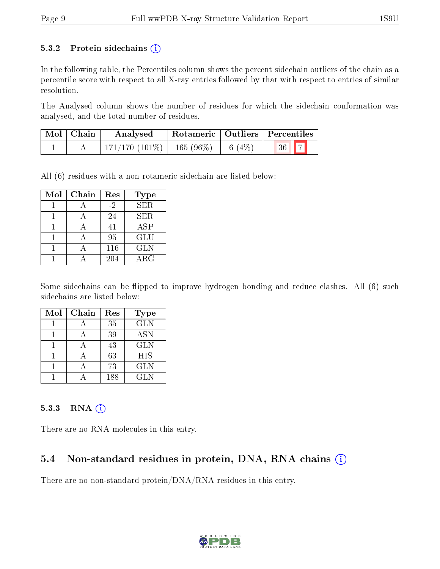#### 5.3.2 Protein sidechains  $(i)$

In the following table, the Percentiles column shows the percent sidechain outliers of the chain as a percentile score with respect to all X-ray entries followed by that with respect to entries of similar resolution.

The Analysed column shows the number of residues for which the sidechain conformation was analysed, and the total number of residues.

| $\mid$ Mol $\mid$ Chain | Analysed                                 | Rotameric   Outliers   Percentiles |            |  |
|-------------------------|------------------------------------------|------------------------------------|------------|--|
|                         | $171/170$ (101\%)   165 (96\%)   6 (4\%) |                                    | $36$   $7$ |  |

All (6) residues with a non-rotameric sidechain are listed below:

| Mol | Chain | Res  | Type        |
|-----|-------|------|-------------|
|     |       | $-2$ | <b>SER</b>  |
|     |       | 24   | SER.        |
|     |       | 41   | ASP         |
|     |       | 95   | <b>GLU</b>  |
|     |       | 116  | <b>GLN</b>  |
|     |       | 204  | ${\rm ARG}$ |

Some sidechains can be flipped to improve hydrogen bonding and reduce clashes. All (6) such sidechains are listed below:

| Mol | Chain | Res | <b>Type</b> |
|-----|-------|-----|-------------|
|     |       | 35  | <b>GLN</b>  |
|     |       | 39  | <b>ASN</b>  |
|     |       | 43  | <b>GLN</b>  |
|     |       | 63  | <b>HIS</b>  |
|     |       | 73  | <b>GLN</b>  |
|     |       | 188 | <b>GLN</b>  |

#### 5.3.3 RNA (i)

There are no RNA molecules in this entry.

#### 5.4 Non-standard residues in protein, DNA, RNA chains (i)

There are no non-standard protein/DNA/RNA residues in this entry.

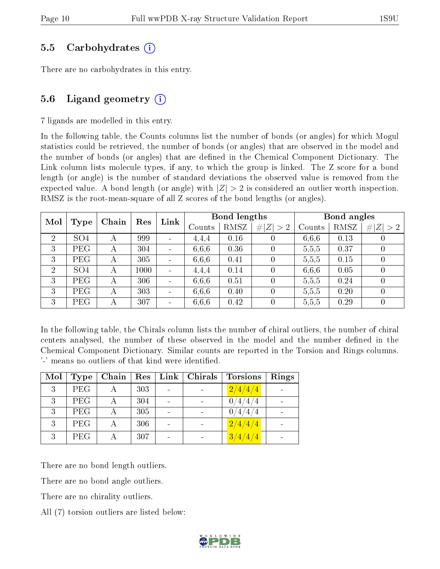#### 5.5 Carbohydrates (i)

There are no carbohydrates in this entry.

#### 5.6 Ligand geometry  $(i)$

7 ligands are modelled in this entry.

In the following table, the Counts columns list the number of bonds (or angles) for which Mogul statistics could be retrieved, the number of bonds (or angles) that are observed in the model and the number of bonds (or angles) that are defined in the Chemical Component Dictionary. The Link column lists molecule types, if any, to which the group is linked. The Z score for a bond length (or angle) is the number of standard deviations the observed value is removed from the expected value. A bond length (or angle) with  $|Z| > 2$  is considered an outlier worth inspection. RMSZ is the root-mean-square of all Z scores of the bond lengths (or angles).

| Mol |                 | Chain | Res  | Link                         |        | Bond lengths |                  |        | Bond angles |                  |
|-----|-----------------|-------|------|------------------------------|--------|--------------|------------------|--------|-------------|------------------|
|     | Type            |       |      |                              | Counts | RMSZ         | # $ Z  > 2$      | Counts | RMSZ        | Z   > 2          |
| 2   | SO <sub>4</sub> | А     | 999  | $\qquad \qquad \blacksquare$ | 4.4.4  | 0.16         |                  | 6,6,6  | 0.13        | U                |
| 3   | PEG             | А     | 304  |                              | 6,6,6  | 0.36         |                  | 5,5,5  | 0.37        | $\left( \right)$ |
| 3   | PEG             | А     | 305  |                              | 6,6,6  | 0.41         |                  | 5,5,5  | 0.15        | $\left( \right)$ |
| 2   | SO <sub>4</sub> | А     | 1000 |                              | 4.4.4  | 0.14         | $\Omega$         | 6,6,6  | 0.05        | $\left( \right)$ |
| 3   | PEG             | А     | 306  |                              | 6.6.6  | 0.51         | $\left( \right)$ | 5,5,5  | 0.24        | $\theta$         |
| 3   | PEG             | А     | 303  | $\qquad \qquad \blacksquare$ | 6.6.6  | 0.40         | $\left( \right)$ | 5,5,5  | 0.20        | $\left( \right)$ |
| 3   | PEG             | А     | 307  |                              | 6,6,6  | 0.42         | $\left( \right)$ | 5,5,5  | 0.29        | $\left( \right)$ |

In the following table, the Chirals column lists the number of chiral outliers, the number of chiral centers analysed, the number of these observed in the model and the number defined in the Chemical Component Dictionary. Similar counts are reported in the Torsion and Rings columns. '-' means no outliers of that kind were identified.

| Mol | Type       | Chain | Res | $\mathbf{Link}$ | Chirals | <b>Torsions</b> | Rings |
|-----|------------|-------|-----|-----------------|---------|-----------------|-------|
| 3   | <b>PEG</b> |       | 303 |                 |         | 2/4/4/4         |       |
| 3   | <b>PEG</b> |       | 304 |                 |         | 0/4/4/4         |       |
| 3   | <b>PEG</b> |       | 305 |                 |         | 0/4/4/4         |       |
| 3   | <b>PEG</b> |       | 306 |                 |         | 2/4/4/4         |       |
| 3   | <b>PEG</b> |       | 307 |                 |         | 3/4/4/4         |       |

There are no bond length outliers.

There are no bond angle outliers.

There are no chirality outliers.

All (7) torsion outliers are listed below:

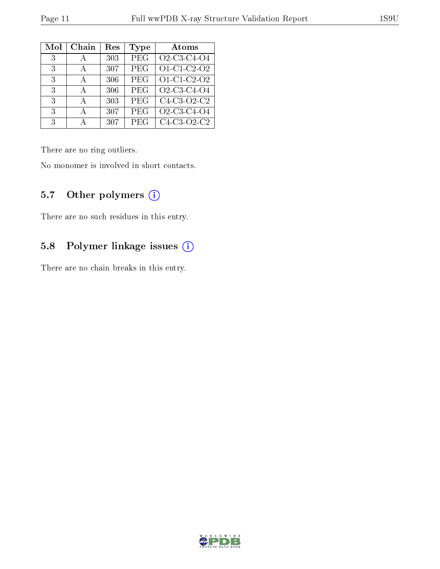| Mol | Chain        | $\operatorname{Res}% \left( \mathcal{N}\right) \equiv\operatorname{Res}(\mathcal{N}_{0},\mathcal{N}_{0})$ | Type       | Atoms                                                          |
|-----|--------------|-----------------------------------------------------------------------------------------------------------|------------|----------------------------------------------------------------|
| 3   | $\mathsf{A}$ | 303                                                                                                       | PEG        | O <sub>2</sub> -C <sub>3</sub> -C <sub>4</sub> -O <sub>4</sub> |
| 3   | А            | 307                                                                                                       | PEG        | O1-C1-C2-O2                                                    |
| 3   | $\mathbf{A}$ | 306                                                                                                       | PEG        | O1-C1-C2-O2                                                    |
| 3   | А            | 306                                                                                                       | <b>PEG</b> | O2-C3-C4-O4                                                    |
| 3   | $\mathsf{A}$ | 303                                                                                                       | PEG        | C4-C3-O2-C2                                                    |
| 3   | А            | 307                                                                                                       | PEG        | O2-C3-C4-O4                                                    |
| 3   |              | 307                                                                                                       | PEG        | C4-C3-O2-C2                                                    |

There are no ring outliers.

No monomer is involved in short contacts.

#### 5.7 [O](https://www.wwpdb.org/validation/2017/XrayValidationReportHelp#nonstandard_residues_and_ligands)ther polymers (i)

There are no such residues in this entry.

### 5.8 Polymer linkage issues (i)

There are no chain breaks in this entry.

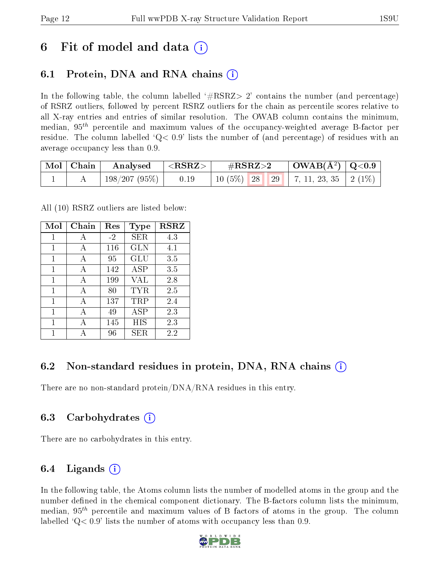### 6 Fit of model and data  $\left( \cdot \right)$

### 6.1 Protein, DNA and RNA chains (i)

In the following table, the column labelled  $#RSRZ>2'$  contains the number (and percentage) of RSRZ outliers, followed by percent RSRZ outliers for the chain as percentile scores relative to all X-ray entries and entries of similar resolution. The OWAB column contains the minimum, median,  $95<sup>th</sup>$  percentile and maximum values of the occupancy-weighted average B-factor per residue. The column labelled  $Q< 0.9$  lists the number of (and percentage) of residues with an average occupancy less than 0.9.

| $\mid$ Mol $\mid$ Chain | $\mid$ Analysed $\mid$ <rsrz> <math>\mid</math></rsrz> |      | $\rm \#RSRZ{>}2$                                 | $\mid$ OWAB(Å <sup>2</sup> ) $\mid$ Q<0.9 $\mid$ |  |
|-------------------------|--------------------------------------------------------|------|--------------------------------------------------|--------------------------------------------------|--|
|                         | 198/207 (95%)                                          | 0.19 | 10 $(5\%)$   28   29   7, 11, 23, 35   2 $(1\%)$ |                                                  |  |

All (10) RSRZ outliers are listed below:

| Mol | Chain | Res  | <b>Type</b> | <b>RSRZ</b> |
|-----|-------|------|-------------|-------------|
| 1   | А     | $-2$ | SER         | 4.3         |
| 1   | A     | 116  | GLN         | 4.1         |
| 1   | А     | 95   | GLU         | 3.5         |
| 1   | A     | 142  | <b>ASP</b>  | 3.5         |
| 1   | А     | 199  | VAL         | 2.8         |
| 1   | A     | 80   | TYR         | 2.5         |
| 1   | A     | 137  | $\rm TRP$   | 2.4         |
| 1   | A     | 49   | ASP         | 2.3         |
| 1   |       | 145  | HIS         | 2.3         |
| 1   |       | 96   | SER.        | 2.2         |

#### 6.2 Non-standard residues in protein, DNA, RNA chains (i)

There are no non-standard protein/DNA/RNA residues in this entry.

#### 6.3 Carbohydrates (i)

There are no carbohydrates in this entry.

#### 6.4 Ligands  $(i)$

In the following table, the Atoms column lists the number of modelled atoms in the group and the number defined in the chemical component dictionary. The B-factors column lists the minimum, median,  $95<sup>th</sup>$  percentile and maximum values of B factors of atoms in the group. The column labelled  $Q< 0.9$ ' lists the number of atoms with occupancy less than 0.9.